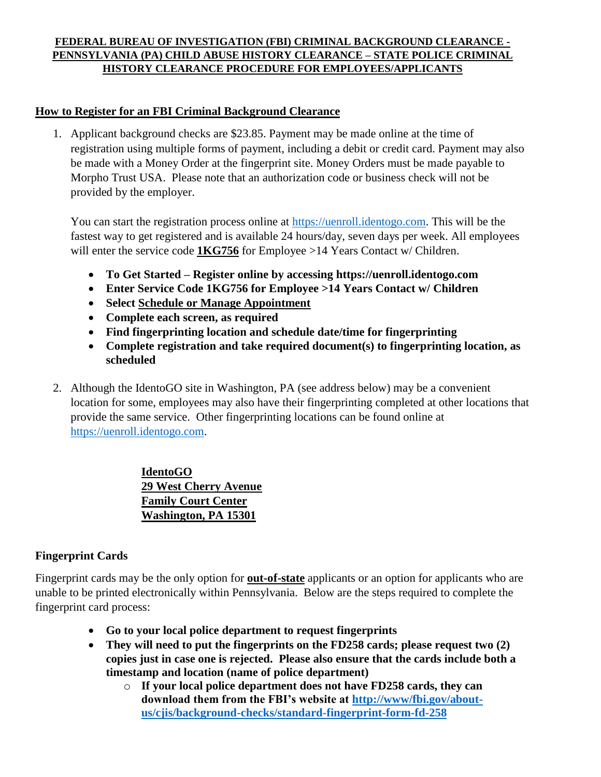#### **FEDERAL BUREAU OF INVESTIGATION (FBI) CRIMINAL BACKGROUND CLEARANCE - PENNSYLVANIA (PA) CHILD ABUSE HISTORY CLEARANCE – STATE POLICE CRIMINAL HISTORY CLEARANCE PROCEDURE FOR EMPLOYEES/APPLICANTS**

## **How to Register for an FBI Criminal Background Clearance**

1. Applicant background checks are \$23.85. Payment may be made online at the time of registration using multiple forms of payment, including a debit or credit card. Payment may also be made with a Money Order at the fingerprint site. Money Orders must be made payable to Morpho Trust USA. Please note that an authorization code or business check will not be provided by the employer.

You can start the registration process online at [https://uenroll.identogo.com.](https://uenroll.identogo.com/) This will be the fastest way to get registered and is available 24 hours/day, seven days per week. All employees will enter the service code **1KG756** for Employee >14 Years Contact w/ Children.

- **To Get Started – Register online by accessing https://uenroll.identogo.com**
- **Enter Service Code 1KG756 for Employee >14 Years Contact w/ Children**
- **Select Schedule or Manage Appointment**
- **Complete each screen, as required**
- **Find fingerprinting location and schedule date/time for fingerprinting**
- **Complete registration and take required document(s) to fingerprinting location, as scheduled**
- 2. Although the IdentoGO site in Washington, PA (see address below) may be a convenient location for some, employees may also have their fingerprinting completed at other locations that provide the same service. Other fingerprinting locations can be found online at [https://uenroll.identogo.com.](https://uenroll.identogo.com/)

**IdentoGO 29 West Cherry Avenue Family Court Center Washington, PA 15301**

# **Fingerprint Cards**

Fingerprint cards may be the only option for **out-of-state** applicants or an option for applicants who are unable to be printed electronically within Pennsylvania. Below are the steps required to complete the fingerprint card process:

- **Go to your local police department to request fingerprints**
- **They will need to put the fingerprints on the FD258 cards; please request two (2) copies just in case one is rejected. Please also ensure that the cards include both a timestamp and location (name of police department)**
	- o **If your local police department does not have FD258 cards, they can download them from the FBI's website at [http://www/fbi.gov/about](http://www/fbi.gov/about-us/cjis/background-checks/standard-fingerprint-form-fd-258)[us/cjis/background-checks/standard-fingerprint-form-fd-258](http://www/fbi.gov/about-us/cjis/background-checks/standard-fingerprint-form-fd-258)**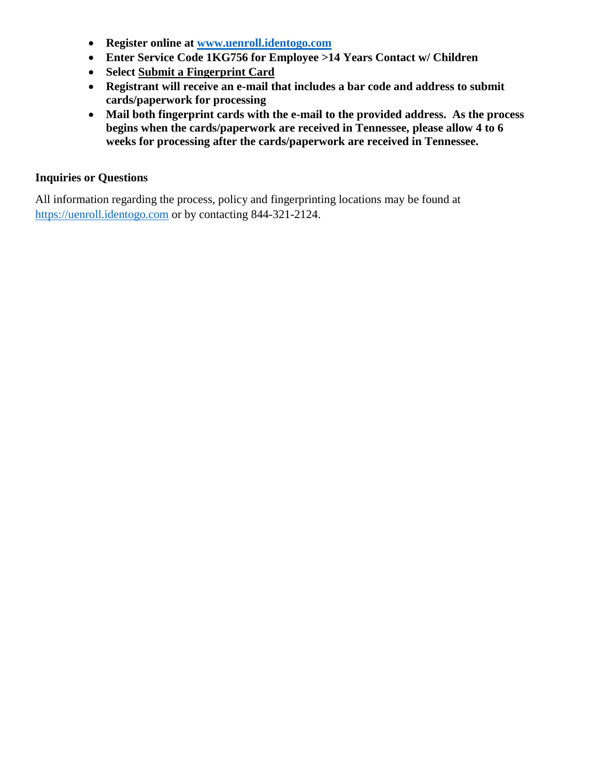- **Register online at [www.uenroll.identogo.com](http://www.uenroll.identogo.com/)**
- **Enter Service Code 1KG756 for Employee >14 Years Contact w/ Children**
- **Select Submit a Fingerprint Card**
- **Registrant will receive an e-mail that includes a bar code and address to submit cards/paperwork for processing**
- **Mail both fingerprint cards with the e-mail to the provided address. As the process begins when the cards/paperwork are received in Tennessee, please allow 4 to 6 weeks for processing after the cards/paperwork are received in Tennessee.**

#### **Inquiries or Questions**

All information regarding the process, policy and fingerprinting locations may be found at [https://uenroll.identogo.com](http://www.uenroll.identogo.com/) or by contacting 844-321-2124.